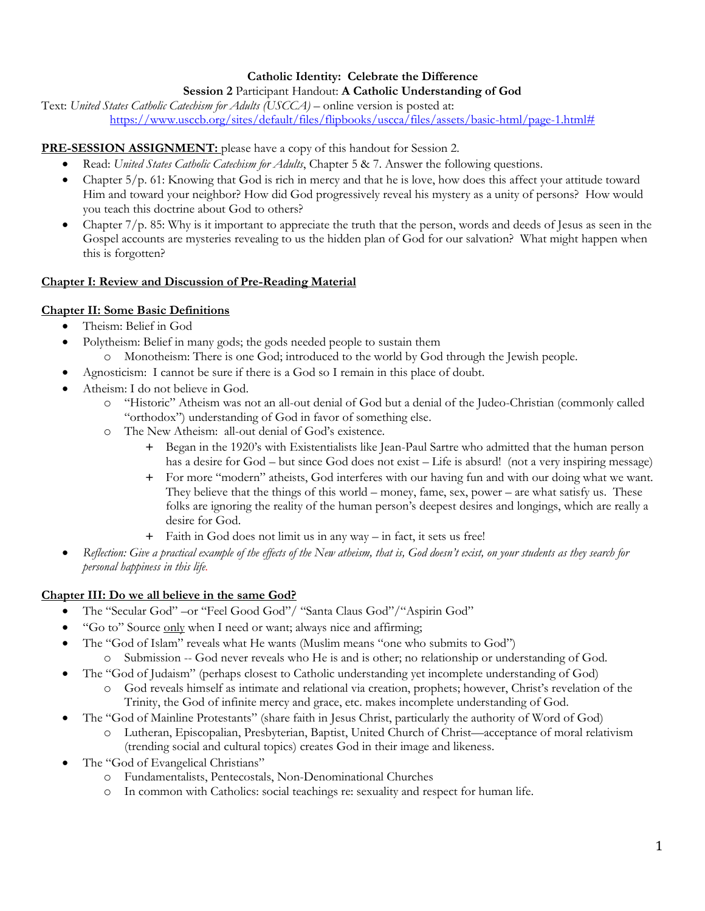## **Catholic Identity: Celebrate the Difference**

#### **Session 2** Participant Handout: **A Catholic Understanding of God**

Text: *United States Catholic Catechism for Adults (USCCA)* – online version is posted at: [https://www.usccb.org/sites/default/files/flipbooks/uscca/files/assets/basic-html/page-1.html#](https://www.usccb.org/sites/default/files/flipbooks/uscca/files/assets/basic-html/page-1.html)

#### **PRE-SESSION ASSIGNMENT:** please have a copy of this handout for Session 2.

- Read: *United States Catholic Catechism for Adults*, Chapter 5 & 7. Answer the following questions.
- Chapter  $5/p$ . 61: Knowing that God is rich in mercy and that he is love, how does this affect your attitude toward Him and toward your neighbor? How did God progressively reveal his mystery as a unity of persons? How would you teach this doctrine about God to others?
- Chapter 7/p. 85: Why is it important to appreciate the truth that the person, words and deeds of Jesus as seen in the Gospel accounts are mysteries revealing to us the hidden plan of God for our salvation? What might happen when this is forgotten?

#### **Chapter I: Review and Discussion of Pre-Reading Material**

#### **Chapter II: Some Basic Definitions**

- Theism: Belief in God
- Polytheism: Belief in many gods; the gods needed people to sustain them
- o Monotheism: There is one God; introduced to the world by God through the Jewish people.
- Agnosticism: I cannot be sure if there is a God so I remain in this place of doubt.
- Atheism: I do not believe in God.
	- o "Historic" Atheism was not an all-out denial of God but a denial of the Judeo-Christian (commonly called "orthodox") understanding of God in favor of something else.
	- o The New Atheism: all-out denial of God's existence.
		- + Began in the 1920's with Existentialists like Jean-Paul Sartre who admitted that the human person has a desire for God – but since God does not exist – Life is absurd! (not a very inspiring message)
		- + For more "modern" atheists, God interferes with our having fun and with our doing what we want. They believe that the things of this world – money, fame, sex, power – are what satisfy us. These folks are ignoring the reality of the human person's deepest desires and longings, which are really a desire for God.
		- + Faith in God does not limit us in any way in fact, it sets us free!
- *Reflection: Give a practical example of the effects of the New atheism, that is, God doesn't exist, on your students as they search for personal happiness in this life.*

### **Chapter III: Do we all believe in the same God?**

- The "Secular God" –or "Feel Good God"/ "Santa Claus God"/"Aspirin God"
- "Go to" Source only when I need or want; always nice and affirming;
- The "God of Islam" reveals what He wants (Muslim means "one who submits to God")
	- o Submission -- God never reveals who He is and is other; no relationship or understanding of God.
- The "God of Judaism" (perhaps closest to Catholic understanding yet incomplete understanding of God)
	- o God reveals himself as intimate and relational via creation, prophets; however, Christ's revelation of the Trinity, the God of infinite mercy and grace, etc. makes incomplete understanding of God.
- The "God of Mainline Protestants" (share faith in Jesus Christ, particularly the authority of Word of God)
	- o Lutheran, Episcopalian, Presbyterian, Baptist, United Church of Christ—acceptance of moral relativism (trending social and cultural topics) creates God in their image and likeness.
- The "God of Evangelical Christians"
	- o Fundamentalists, Pentecostals, Non-Denominational Churches
	- o In common with Catholics: social teachings re: sexuality and respect for human life.